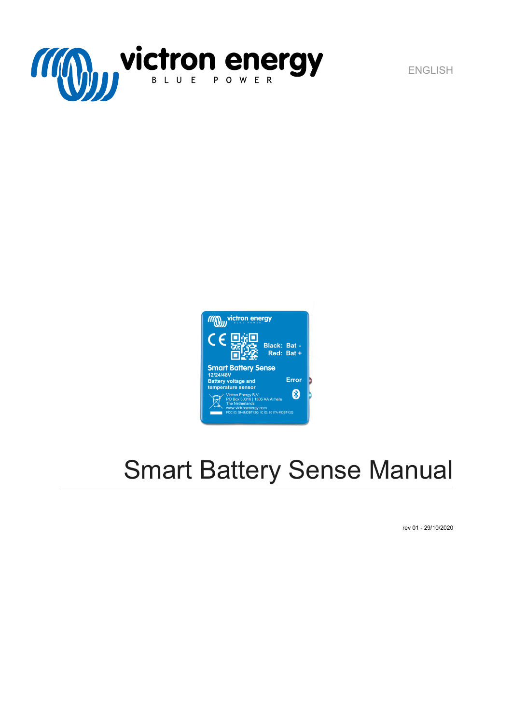

ENGLISH



# Smart Battery Sense Manual

rev 01 - 29/10/2020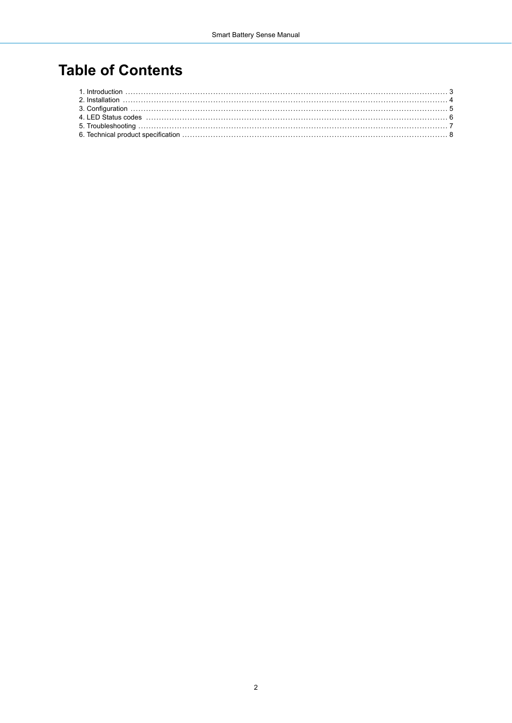## **Table of Contents**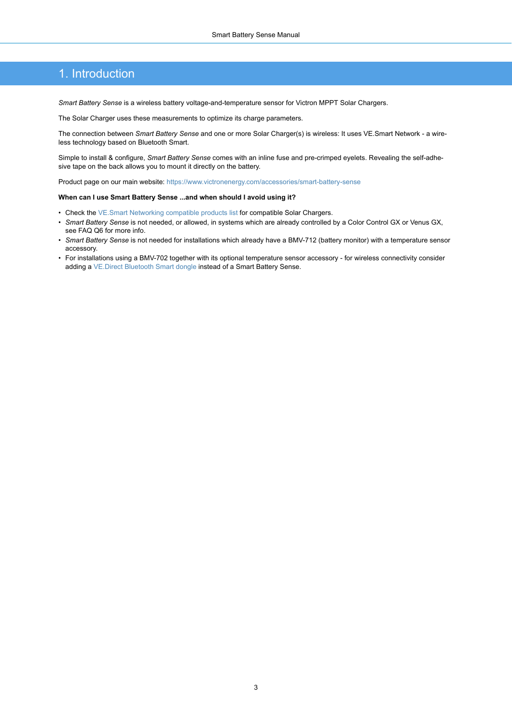#### <span id="page-2-0"></span>1. Introduction

*Smart Battery Sense* is a wireless battery voltage-and-temperature sensor for Victron MPPT Solar Chargers.

The Solar Charger uses these measurements to optimize its charge parameters.

The connection between *Smart Battery Sense* and one or more Solar Charger(s) is wireless: It uses VE.Smart Network - a wireless technology based on Bluetooth Smart.

Simple to install & configure, *Smart Battery Sense* comes with an inline fuse and pre-crimped eyelets. Revealing the self-adhesive tape on the back allows you to mount it directly on the battery.

Product page on our main website:<https://www.victronenergy.com/accessories/smart-battery-sense>

#### **When can I use Smart Battery Sense ...and when should I avoid using it?**

- Check the [VE.Smart Networking compatible products list](https://www.victronenergy.com/live/victronconnect:ve-smart-networking#vesmart_networking_compatible_products) for compatible Solar Chargers.
- *Smart Battery Sense* is not needed, or allowed, in systems which are already controlled by a Color Control GX or Venus GX, see FAQ Q6 for more info.
- *Smart Battery Sense* is not needed for installations which already have a BMV-712 (battery monitor) with a temperature sensor accessory.
- For installations using a BMV-702 together with its optional temperature sensor accessory for wireless connectivity consider adding a [VE.Direct Bluetooth Smart dongle](https://www.victronenergy.com/accessories/ve-direct-bluetooth-smart-dongle) instead of a Smart Battery Sense.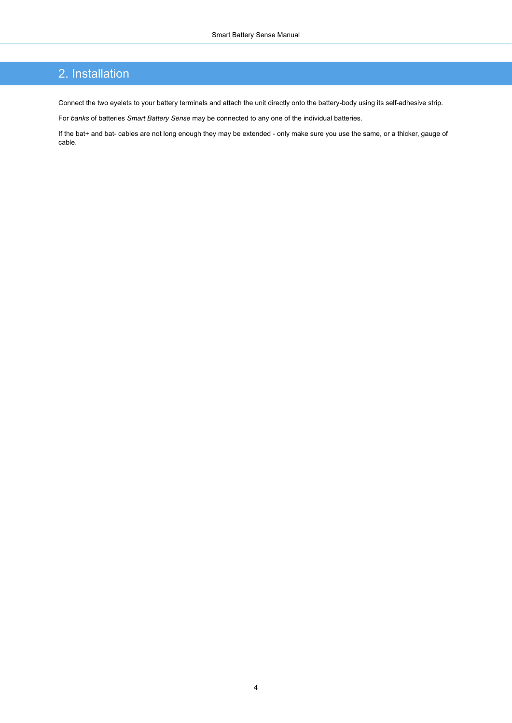#### <span id="page-3-0"></span>2. Installation

Connect the two eyelets to your battery terminals and attach the unit directly onto the battery-body using its self-adhesive strip.

For *banks* of batteries *Smart Battery Sense* may be connected to any one of the individual batteries.

If the bat+ and bat- cables are not long enough they may be extended - only make sure you use the same, or a thicker, gauge of cable.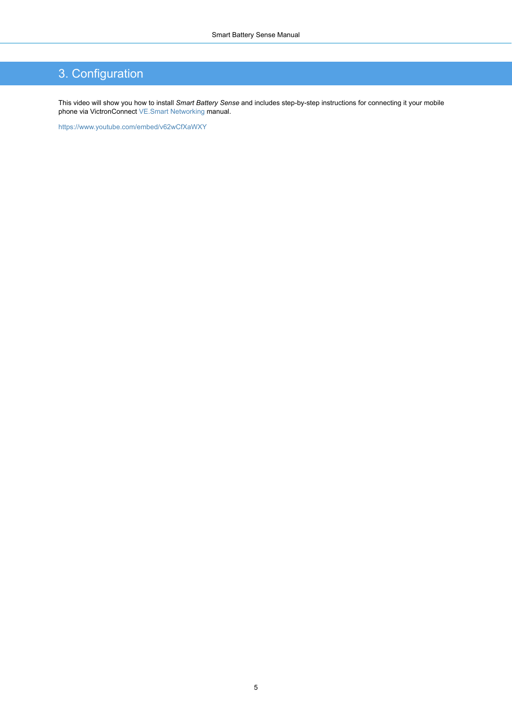### <span id="page-4-0"></span>3. Configuration

This video will show you how to install *Smart Battery Sense* and includes step-by-step instructions for connecting it your mobile phone via VictronConnect [VE.Smart Networking](https://www.victronenergy.com/live/victronconnect:ve-smart-networking) manual.

<https://www.youtube.com/embed/v62wCfXaWXY>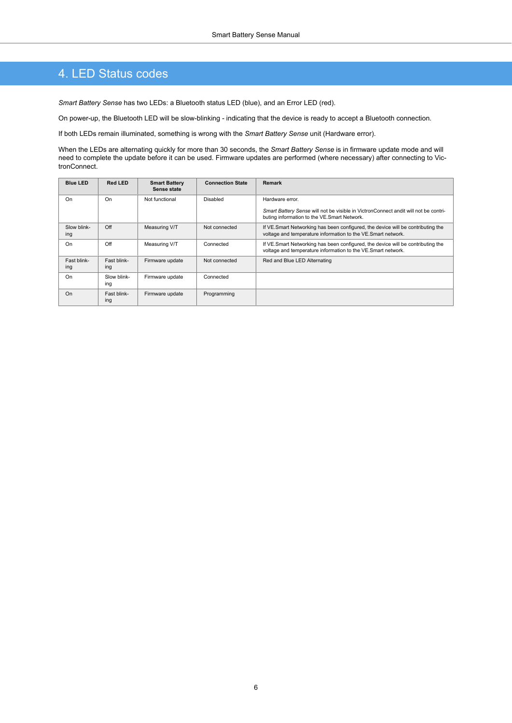#### <span id="page-5-0"></span>4. LED Status codes

*Smart Battery Sense* has two LEDs: a Bluetooth status LED (blue), and an Error LED (red).

On power-up, the Bluetooth LED will be slow-blinking - indicating that the device is ready to accept a Bluetooth connection.

If both LEDs remain illuminated, something is wrong with the *Smart Battery Sense* unit (Hardware error).

When the LEDs are alternating quickly for more than 30 seconds, the *Smart Battery Sense* is in firmware update mode and will need to complete the update before it can be used. Firmware updates are performed (where necessary) after connecting to VictronConnect.

| <b>Blue LED</b>    | Red LED            | <b>Smart Battery</b><br>Sense state | <b>Connection State</b> | Remark                                                                                                                                          |
|--------------------|--------------------|-------------------------------------|-------------------------|-------------------------------------------------------------------------------------------------------------------------------------------------|
| On                 | On                 | Not functional                      | Disabled                | Hardware error.                                                                                                                                 |
|                    |                    |                                     |                         | Smart Battery Sense will not be visible in VictronConnect andit will not be contri-<br>buting information to the VE.Smart Network.              |
| Slow blink-<br>ing | Off                | Measuring V/T                       | Not connected           | If VE.Smart Networking has been configured, the device will be contributing the<br>voltage and temperature information to the VE.Smart network. |
| On                 | Off                | Measuring V/T                       | Connected               | If VE.Smart Networking has been configured, the device will be contributing the<br>voltage and temperature information to the VE.Smart network. |
| Fast blink-<br>ing | Fast blink-<br>ing | Firmware update                     | Not connected           | Red and Blue LED Alternating                                                                                                                    |
| On                 | Slow blink-<br>ing | Firmware update                     | Connected               |                                                                                                                                                 |
| On                 | Fast blink-<br>ing | Firmware update                     | Programming             |                                                                                                                                                 |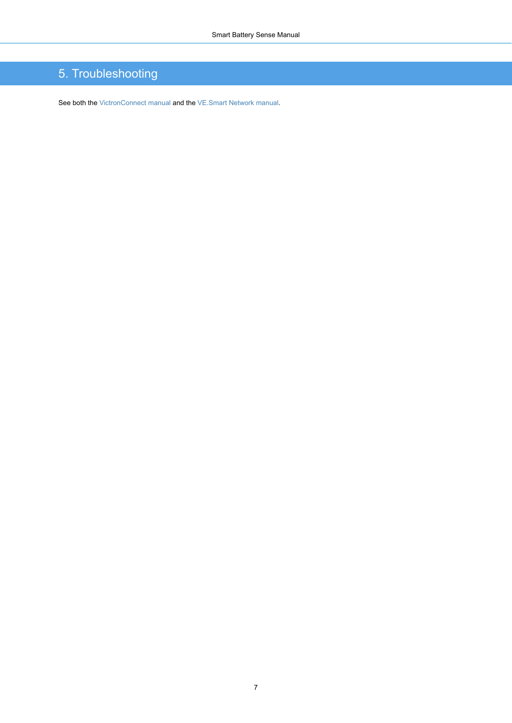### <span id="page-6-0"></span>5. Troubleshooting

See both the [VictronConnect manual](https://www.victronenergy.com/live/victronconnect:start) and the [VE.Smart Network manual](https://www.victronenergy.com/live/victronconnect:ve-smart-networking).